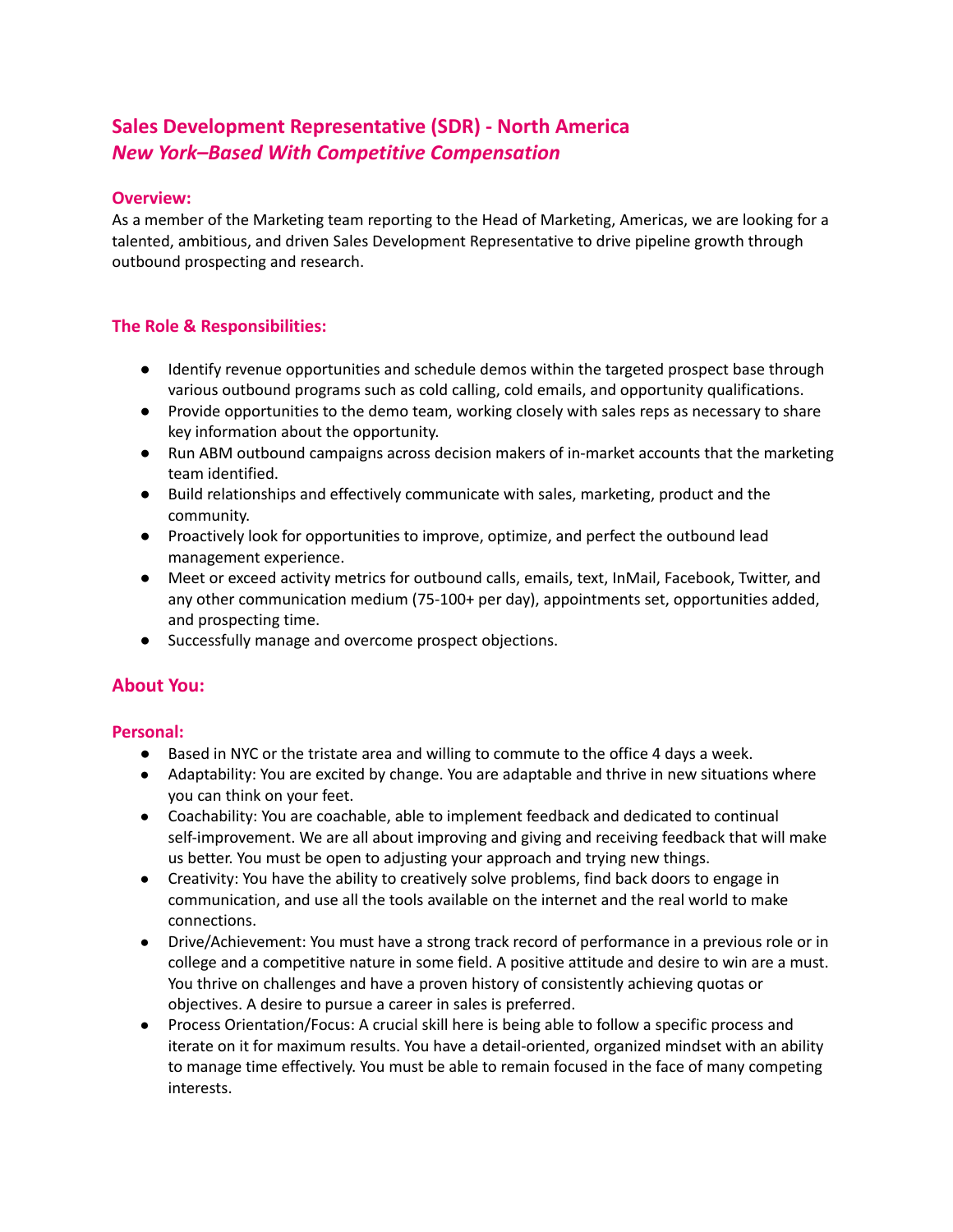# **Sales Development Representative (SDR) - North America** *New York–Based With Competitive Compensation*

## **Overview:**

As a member of the Marketing team reporting to the Head of Marketing, Americas, we are looking for a talented, ambitious, and driven Sales Development Representative to drive pipeline growth through outbound prospecting and research.

## **The Role & Responsibilities:**

- Identify revenue opportunities and schedule demos within the targeted prospect base through various outbound programs such as cold calling, cold emails, and opportunity qualifications.
- Provide opportunities to the demo team, working closely with sales reps as necessary to share key information about the opportunity.
- Run ABM outbound campaigns across decision makers of in-market accounts that the marketing team identified.
- Build relationships and effectively communicate with sales, marketing, product and the community.
- Proactively look for opportunities to improve, optimize, and perfect the outbound lead management experience.
- Meet or exceed activity metrics for outbound calls, emails, text, InMail, Facebook, Twitter, and any other communication medium (75-100+ per day), appointments set, opportunities added, and prospecting time.
- Successfully manage and overcome prospect objections.

## **About You:**

## **Personal:**

- Based in NYC or the tristate area and willing to commute to the office 4 days a week.
- Adaptability: You are excited by change. You are adaptable and thrive in new situations where you can think on your feet.
- Coachability: You are coachable, able to implement feedback and dedicated to continual self-improvement. We are all about improving and giving and receiving feedback that will make us better. You must be open to adjusting your approach and trying new things.
- Creativity: You have the ability to creatively solve problems, find back doors to engage in communication, and use all the tools available on the internet and the real world to make connections.
- Drive/Achievement: You must have a strong track record of performance in a previous role or in college and a competitive nature in some field. A positive attitude and desire to win are a must. You thrive on challenges and have a proven history of consistently achieving quotas or objectives. A desire to pursue a career in sales is preferred.
- Process Orientation/Focus: A crucial skill here is being able to follow a specific process and iterate on it for maximum results. You have a detail-oriented, organized mindset with an ability to manage time effectively. You must be able to remain focused in the face of many competing interests.